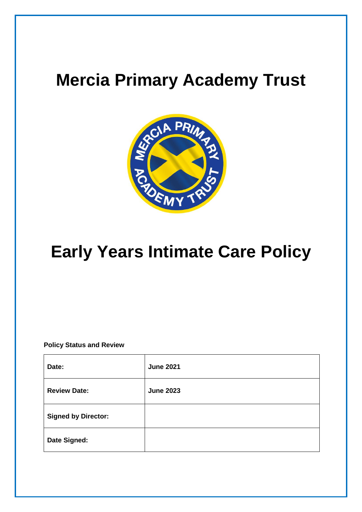# **Mercia Primary Academy Trust**



# **Early Years Intimate Care Policy**

**Policy Status and Review**

| Date:                      | <b>June 2021</b> |
|----------------------------|------------------|
| <b>Review Date:</b>        | <b>June 2023</b> |
| <b>Signed by Director:</b> |                  |
| Date Signed:               |                  |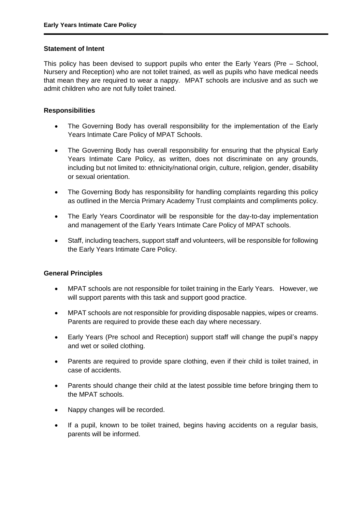#### **Statement of Intent**

This policy has been devised to support pupils who enter the Early Years (Pre – School, Nursery and Reception) who are not toilet trained, as well as pupils who have medical needs that mean they are required to wear a nappy.MPAT schools are inclusive and as such we admit children who are not fully toilet trained.

## **Responsibilities**

- The Governing Body has overall responsibility for the implementation of the Early Years Intimate Care Policy of MPAT Schools.
- The Governing Body has overall responsibility for ensuring that the physical Early Years Intimate Care Policy, as written, does not discriminate on any grounds, including but not limited to: ethnicity/national origin, culture, religion, gender, disability or sexual orientation.
- The Governing Body has responsibility for handling complaints regarding this policy as outlined in the Mercia Primary Academy Trust complaints and compliments policy.
- The Early Years Coordinator will be responsible for the day-to-day implementation and management of the Early Years Intimate Care Policy of MPAT schools.
- Staff, including teachers, support staff and volunteers, will be responsible for following the Early Years Intimate Care Policy.

#### **General Principles**

- MPAT schools are not responsible for toilet training in the Early Years. However, we will support parents with this task and support good practice.
- MPAT schools are not responsible for providing disposable nappies, wipes or creams. Parents are required to provide these each day where necessary.
- Early Years (Pre school and Reception) support staff will change the pupil's nappy and wet or soiled clothing.
- Parents are required to provide spare clothing, even if their child is toilet trained, in case of accidents.
- Parents should change their child at the latest possible time before bringing them to the MPAT schools.
- Nappy changes will be recorded.
- If a pupil, known to be toilet trained, begins having accidents on a regular basis, parents will be informed.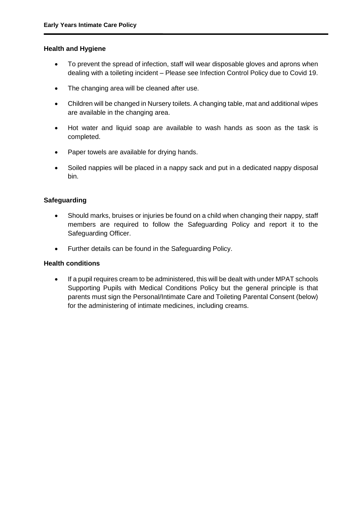#### **Health and Hygiene**

- To prevent the spread of infection, staff will wear disposable gloves and aprons when dealing with a toileting incident – Please see Infection Control Policy due to Covid 19.
- The changing area will be cleaned after use.
- Children will be changed in Nursery toilets. A changing table, mat and additional wipes are available in the changing area.
- Hot water and liquid soap are available to wash hands as soon as the task is completed.
- Paper towels are available for drying hands.
- Soiled nappies will be placed in a nappy sack and put in a dedicated nappy disposal bin.

## **Safeguarding**

- Should marks, bruises or injuries be found on a child when changing their nappy, staff members are required to follow the Safeguarding Policy and report it to the Safeguarding Officer.
- Further details can be found in the Safeguarding Policy.

## **Health conditions**

 If a pupil requires cream to be administered, this will be dealt with under MPAT schools Supporting Pupils with Medical Conditions Policy but the general principle is that parents must sign the Personal/Intimate Care and Toileting Parental Consent (below) for the administering of intimate medicines, including creams.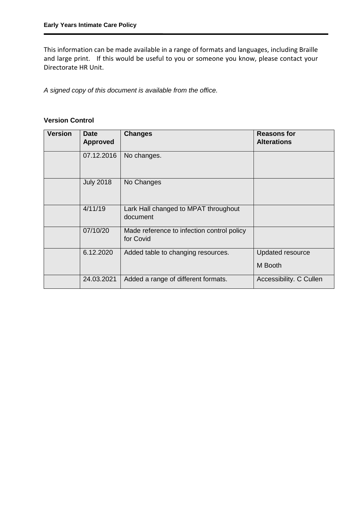This information can be made available in a range of formats and languages, including Braille and large print. If this would be useful to you or someone you know, please contact your Directorate HR Unit.

*A signed copy of this document is available from the office.*

# **Version Control**

| <b>Version</b> | <b>Date</b><br><b>Approved</b> | <b>Changes</b>                                          | <b>Reasons for</b><br><b>Alterations</b> |
|----------------|--------------------------------|---------------------------------------------------------|------------------------------------------|
|                | 07.12.2016                     | No changes.                                             |                                          |
|                | <b>July 2018</b>               | No Changes                                              |                                          |
|                | 4/11/19                        | Lark Hall changed to MPAT throughout<br>document        |                                          |
|                | 07/10/20                       | Made reference to infection control policy<br>for Covid |                                          |
|                | 6.12.2020                      | Added table to changing resources.                      | Updated resource<br>M Booth              |
|                | 24.03.2021                     | Added a range of different formats.                     | Accessibility. C Cullen                  |